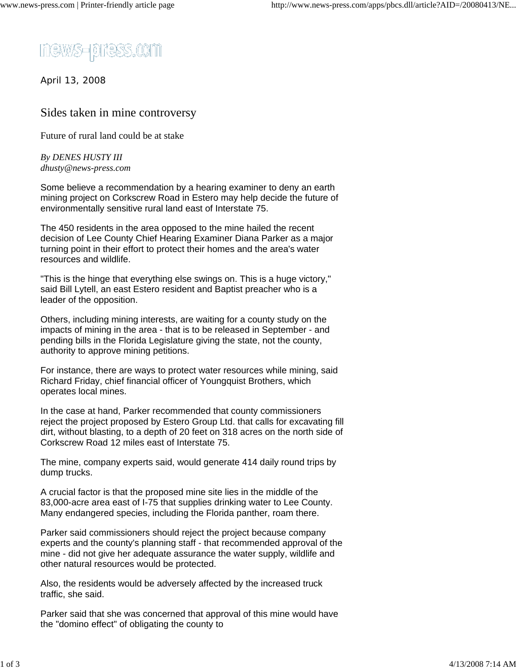

April 13, 2008

## Sides taken in mine controversy

Future of rural land could be at stake

## *By DENES HUSTY III dhusty@news-press.com*

Some believe a recommendation by a hearing examiner to deny an earth mining project on Corkscrew Road in Estero may help decide the future of environmentally sensitive rural land east of Interstate 75.

The 450 residents in the area opposed to the mine hailed the recent decision of Lee County Chief Hearing Examiner Diana Parker as a major turning point in their effort to protect their homes and the area's water resources and wildlife.

"This is the hinge that everything else swings on. This is a huge victory," said Bill Lytell, an east Estero resident and Baptist preacher who is a leader of the opposition.

Others, including mining interests, are waiting for a county study on the impacts of mining in the area - that is to be released in September - and pending bills in the Florida Legislature giving the state, not the county, authority to approve mining petitions.

For instance, there are ways to protect water resources while mining, said Richard Friday, chief financial officer of Youngquist Brothers, which operates local mines.

In the case at hand, Parker recommended that county commissioners reject the project proposed by Estero Group Ltd. that calls for excavating fill dirt, without blasting, to a depth of 20 feet on 318 acres on the north side of Corkscrew Road 12 miles east of Interstate 75.

The mine, company experts said, would generate 414 daily round trips by dump trucks.

A crucial factor is that the proposed mine site lies in the middle of the 83,000-acre area east of I-75 that supplies drinking water to Lee County. Many endangered species, including the Florida panther, roam there.

Parker said commissioners should reject the project because company experts and the county's planning staff - that recommended approval of the mine - did not give her adequate assurance the water supply, wildlife and other natural resources would be protected.

Also, the residents would be adversely affected by the increased truck traffic, she said.

Parker said that she was concerned that approval of this mine would have the "domino effect" of obligating the county to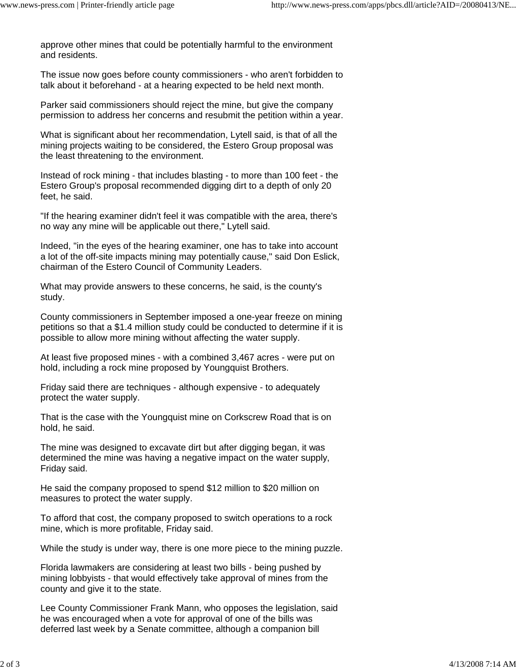approve other mines that could be potentially harmful to the environment and residents.

The issue now goes before county commissioners - who aren't forbidden to talk about it beforehand - at a hearing expected to be held next month.

Parker said commissioners should reject the mine, but give the company permission to address her concerns and resubmit the petition within a year.

What is significant about her recommendation, Lytell said, is that of all the mining projects waiting to be considered, the Estero Group proposal was the least threatening to the environment.

Instead of rock mining - that includes blasting - to more than 100 feet - the Estero Group's proposal recommended digging dirt to a depth of only 20 feet, he said.

"If the hearing examiner didn't feel it was compatible with the area, there's no way any mine will be applicable out there," Lytell said.

Indeed, "in the eyes of the hearing examiner, one has to take into account a lot of the off-site impacts mining may potentially cause," said Don Eslick, chairman of the Estero Council of Community Leaders.

What may provide answers to these concerns, he said, is the county's study.

County commissioners in September imposed a one-year freeze on mining petitions so that a \$1.4 million study could be conducted to determine if it is possible to allow more mining without affecting the water supply.

At least five proposed mines - with a combined 3,467 acres - were put on hold, including a rock mine proposed by Youngquist Brothers.

Friday said there are techniques - although expensive - to adequately protect the water supply.

That is the case with the Youngquist mine on Corkscrew Road that is on hold, he said.

The mine was designed to excavate dirt but after digging began, it was determined the mine was having a negative impact on the water supply, Friday said.

He said the company proposed to spend \$12 million to \$20 million on measures to protect the water supply.

To afford that cost, the company proposed to switch operations to a rock mine, which is more profitable, Friday said.

While the study is under way, there is one more piece to the mining puzzle.

Florida lawmakers are considering at least two bills - being pushed by mining lobbyists - that would effectively take approval of mines from the county and give it to the state.

Lee County Commissioner Frank Mann, who opposes the legislation, said he was encouraged when a vote for approval of one of the bills was deferred last week by a Senate committee, although a companion bill